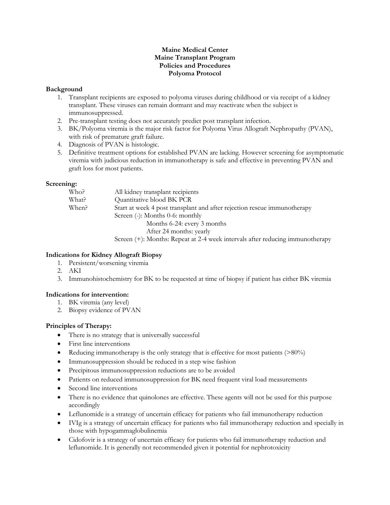## **Maine Medical Center Maine Transplant Program Policies and Procedures Polyoma Protocol**

## **Background**

- 1. Transplant recipients are exposed to polyoma viruses during childhood or via receipt of a kidney transplant. These viruses can remain dormant and may reactivate when the subject is immunosuppressed.
- 2. Pre-transplant testing does not accurately predict post transplant infection.
- 3. BK/Polyoma viremia is the major risk factor for Polyoma Virus Allograft Nephropathy (PVAN), with risk of premature graft failure.
- 4. Diagnosis of PVAN is histologic.
- 5. Definitive treatment options for established PVAN are lacking. However screening for asymptomatic viremia with judicious reduction in immunotherapy is safe and effective in preventing PVAN and graft loss for most patients.

## **Screening:**

| Who?  | All kidney transplant recipients                                                                        |
|-------|---------------------------------------------------------------------------------------------------------|
| What? | Quantitative blood BK PCR                                                                               |
| When? | Start at week 4 post transplant and after rejection rescue immunotherapy                                |
|       | Screen $(-)$ : Months 0-6: monthly                                                                      |
|       | Months 6-24: every 3 months                                                                             |
|       | After 24 months: yearly                                                                                 |
|       | $\Omega$ and $\Omega$ (1), Monthair D and $\Omega$ (denoted by integrals of the node size increased the |

Screen (+): Months: Repeat at 2-4 week intervals after reducing immunotherapy

# **Indications for Kidney Allograft Biopsy**

- 1. Persistent/worsening viremia
- 2. AKI
- 3. Immunohistochemistry for BK to be requested at time of biopsy if patient has either BK viremia

# **Indications for intervention:**

- 1. BK viremia (any level)
- 2. Biopsy evidence of PVAN

# **Principles of Therapy:**

- There is no strategy that is universally successful
- First line interventions
- Reducing immunotherapy is the only strategy that is effective for most patients  $(>80\%)$
- Immunosuppression should be reduced in a step wise fashion
- Precipitous immunosuppression reductions are to be avoided
- Patients on reduced immunosuppression for BK need frequent viral load measurements
- Second line interventions
- There is no evidence that quinolones are effective. These agents will not be used for this purpose accordingly
- Leflunomide is a strategy of uncertain efficacy for patients who fail immunotherapy reduction
- IVIg is a strategy of uncertain efficacy for patients who fail immunotherapy reduction and specially in those with hypogammaglobulinemia
- Cidofovir is a strategy of uncertain efficacy for patients who fail immunotherapy reduction and leflunomide. It is generally not recommended given it potential for nephrotoxicity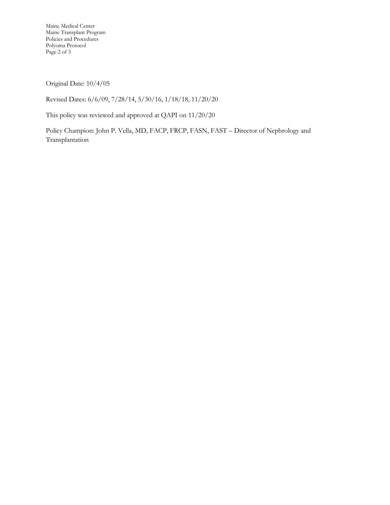Maine Medical Center Maine Transplant Program Policies and Procedures Polyoma Protocol Page 2 of 3

Original Date: 10/4/05

Revised Dates: 6/6/09, 7/28/14, 5/30/16, 1/18/18, 11/20/20

This policy was reviewed and approved at QAPI on 11/20/20

Policy Champion: John P. Vella, MD, FACP, FRCP, FASN, FAST – Director of Nephrology and Transplantation